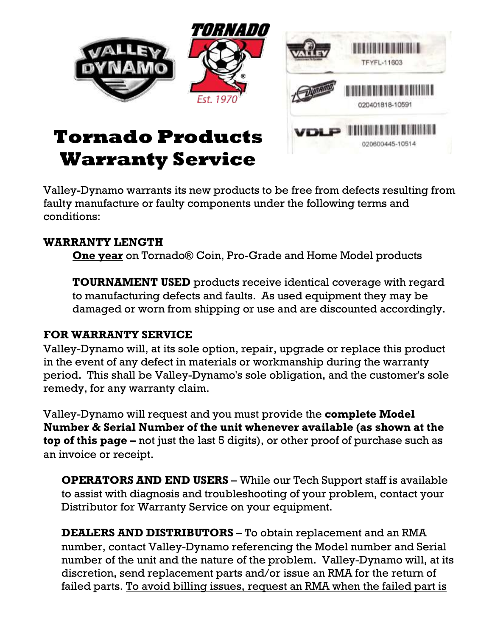

020600445-10514

# **Tornado Products Warranty Service**

Valley-Dynamo warrants its new products to be free from defects resulting from faulty manufacture or faulty components under the following terms and conditions:

#### **WARRANTY LENGTH**

**One year** on Tornado® Coin, Pro-Grade and Home Model products

**TOURNAMENT USED** products receive identical coverage with regard to manufacturing defects and faults. As used equipment they may be damaged or worn from shipping or use and are discounted accordingly.

#### **FOR WARRANTY SERVICE**

Valley-Dynamo will, at its sole option, repair, upgrade or replace this product in the event of any defect in materials or workmanship during the warranty period. This shall be Valley-Dynamo's sole obligation, and the customer's sole remedy, for any warranty claim.

Valley-Dynamo will request and you must provide the **complete Model Number & Serial Number of the unit whenever available (as shown at the top of this page –** not just the last 5 digits), or other proof of purchase such as an invoice or receipt.

**OPERATORS AND END USERS** – While our Tech Support staff is available to assist with diagnosis and troubleshooting of your problem, contact your Distributor for Warranty Service on your equipment.

**DEALERS AND DISTRIBUTORS** – To obtain replacement and an RMA number, contact Valley-Dynamo referencing the Model number and Serial number of the unit and the nature of the problem. Valley-Dynamo will, at its discretion, send replacement parts and/or issue an RMA for the return of failed parts. To avoid billing issues, request an RMA when the failed part is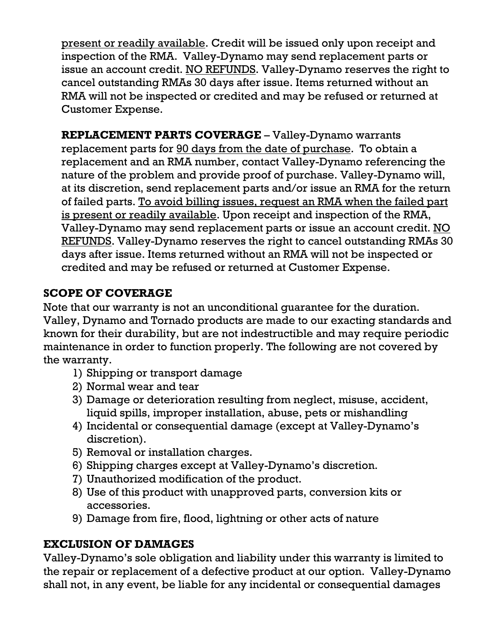present or readily available. Credit will be issued only upon receipt and inspection of the RMA. Valley-Dynamo may send replacement parts or issue an account credit. NO REFUNDS. Valley-Dynamo reserves the right to cancel outstanding RMAs 30 days after issue. Items returned without an RMA will not be inspected or credited and may be refused or returned at Customer Expense.

**REPLACEMENT PARTS COVERAGE** – Valley-Dynamo warrants replacement parts for 90 days from the date of purchase. To obtain a replacement and an RMA number, contact Valley-Dynamo referencing the nature of the problem and provide proof of purchase. Valley-Dynamo will, at its discretion, send replacement parts and/or issue an RMA for the return of failed parts. To avoid billing issues, request an RMA when the failed part is present or readily available. Upon receipt and inspection of the RMA, Valley-Dynamo may send replacement parts or issue an account credit. NO REFUNDS. Valley-Dynamo reserves the right to cancel outstanding RMAs 30 days after issue. Items returned without an RMA will not be inspected or credited and may be refused or returned at Customer Expense.

## **SCOPE OF COVERAGE**

Note that our warranty is not an unconditional guarantee for the duration. Valley, Dynamo and Tornado products are made to our exacting standards and known for their durability, but are not indestructible and may require periodic maintenance in order to function properly. The following are not covered by the warranty.

- 1) Shipping or transport damage
- 2) Normal wear and tear
- 3) Damage or deterioration resulting from neglect, misuse, accident, liquid spills, improper installation, abuse, pets or mishandling
- 4) Incidental or consequential damage (except at Valley-Dynamo's discretion).
- 5) Removal or installation charges.
- 6) Shipping charges except at Valley-Dynamo's discretion.
- 7) Unauthorized modification of the product.
- 8) Use of this product with unapproved parts, conversion kits or accessories.
- 9) Damage from fire, flood, lightning or other acts of nature

## **EXCLUSION OF DAMAGES**

Valley-Dynamo's sole obligation and liability under this warranty is limited to the repair or replacement of a defective product at our option. Valley-Dynamo shall not, in any event, be liable for any incidental or consequential damages